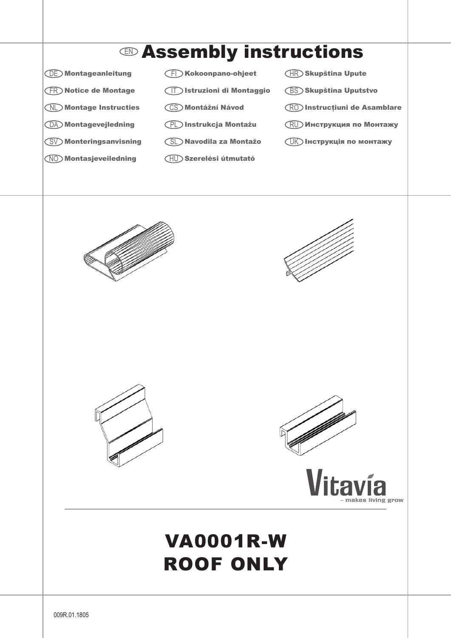

## VA0001R-W Roof only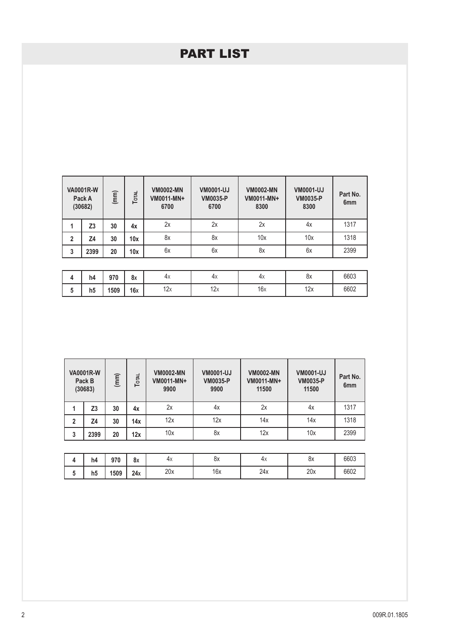## part list

|                | <b>VA0001R-W</b><br>Pack A<br>(30682) | (mm) | <b>TOTAL</b> | <b>VM0002-MN</b><br>VM0011-MN+<br>6700 | <b>VM0001-UJ</b><br><b>VM0035-P</b><br>6700 | <b>VM0002-MN</b><br>VM0011-MN+<br>8300 | <b>VM0001-UJ</b><br><b>VM0035-P</b><br>8300 | Part No.<br>6 <sub>mm</sub> |
|----------------|---------------------------------------|------|--------------|----------------------------------------|---------------------------------------------|----------------------------------------|---------------------------------------------|-----------------------------|
| 1              | Z <sub>3</sub>                        | 30   | 4x           | 2x                                     | 2x                                          | 2x                                     | 4x                                          | 1317                        |
| $\overline{2}$ | Z4                                    | 30   | 10x          | 8x                                     | 8x                                          | 10x                                    | 10x                                         | 1318                        |
| 3              | 2399                                  | 20   | 10x          | 6x                                     | 6x                                          | 8x                                     | 6x                                          | 2399                        |
|                |                                       |      |              |                                        |                                             |                                        |                                             |                             |
| 4              | h4                                    | 970  | 8x           | 4x                                     | 4x                                          | 4x                                     | 8x                                          | 6603                        |

| - | ,,, | J I V | uΛ  | $\cdots$   | $\cdots$    | $\cdots$ | $\ddotsc$ | $  -$ |
|---|-----|-------|-----|------------|-------------|----------|-----------|-------|
|   | h5  | 1509  | 16x | 12v<br>▎∠⋏ | 12.5<br>▎∠⋏ | 16x      | 10v<br>22 | 6602  |
|   |     |       |     |            |             |          |           |       |

|   | <b>VA0001R-W</b><br>(mm)<br>TOTAL<br>Pack B<br>(30683) |    | <b>VM0002-MN</b><br>VM0011-MN+<br>9900 | <b>VM0001-UJ</b><br><b>VM0035-P</b><br>9900 | <b>VM0002-MN</b><br>VM0011-MN+<br>11500 | <b>VM0001-UJ</b><br><b>VM0035-P</b><br>11500 | Part No.<br>6 <sub>mm</sub> |      |
|---|--------------------------------------------------------|----|----------------------------------------|---------------------------------------------|-----------------------------------------|----------------------------------------------|-----------------------------|------|
|   | Z3                                                     | 30 | 4x                                     | 2x                                          | 4х                                      | 2x                                           | 4х                          | 1317 |
| 2 | Z4                                                     | 30 | 14x                                    | 12x                                         | 12x                                     | 14x                                          | 14x                         | 1318 |
| 3 | 2399                                                   | 20 | 12x                                    | 10x                                         | 8x                                      | 12x                                          | 10x                         | 2399 |

| h4             | 970  | 8x  | 4х  | υ.<br>ОΧ | 4χ  | 8x  | 6603 |
|----------------|------|-----|-----|----------|-----|-----|------|
| h <sub>5</sub> | 1509 | 24x | 20x | 16x      | 24x | 20x | 6602 |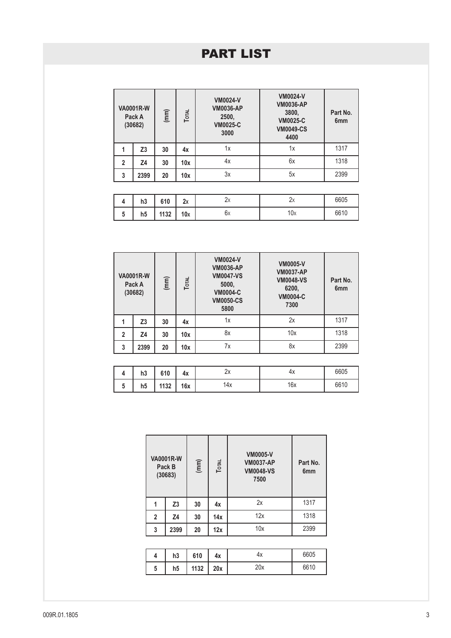## part list

|                | <b>VA0001R-W</b><br>Pack A<br>(30682) | (mm) | Тота | <b>VM0024-V</b><br><b>VM0036-AP</b><br>2500,<br><b>VM0025-C</b><br>3000 | <b>VM0024-V</b><br><b>VM0036-AP</b><br>3800,<br><b>VM0025-C</b><br><b>VM0049-CS</b><br>4400 | Part No.<br>6 <sub>mm</sub> |
|----------------|---------------------------------------|------|------|-------------------------------------------------------------------------|---------------------------------------------------------------------------------------------|-----------------------------|
| 1              | Z3                                    | 30   | 4x   | 1x                                                                      | 1x                                                                                          | 1317                        |
| $\overline{2}$ | Ζ4                                    | 30   | 10x  | 4x                                                                      | 6x                                                                                          | 1318                        |
| 3              | 2399                                  | 20   | 10x  | 3x                                                                      | 5x                                                                                          | 2399                        |
|                |                                       |      |      |                                                                         |                                                                                             |                             |
| 4              | h3                                    | 610  | 2x   | 2x                                                                      | 2x                                                                                          | 6605                        |
| 5              | h5                                    | 1132 | 10x  | 6x                                                                      | 10x                                                                                         | 6610                        |

| <b>VA0001R-W</b><br>Pack A<br>(30682) |      | Тотац<br>(mm) |     | <b>VM0024-V</b><br><b>VM0036-AP</b><br><b>VM0047-VS</b><br>5000,<br><b>VM0004-C</b><br><b>VM0050-CS</b><br>5800 | <b>VM0005-V</b><br><b>VM0037-AP</b><br><b>VM0048-VS</b><br>6200,<br><b>VM0004-C</b><br>7300 | Part No.<br>6 <sub>mm</sub> |
|---------------------------------------|------|---------------|-----|-----------------------------------------------------------------------------------------------------------------|---------------------------------------------------------------------------------------------|-----------------------------|
|                                       | Z3   | 30            | 4x  | 1х                                                                                                              | 2x                                                                                          | 1317                        |
| $\overline{2}$                        | Z4   | 30            | 10x | 8x                                                                                                              | 10x                                                                                         | 1318                        |
| 3                                     | 2399 | 20            | 10x | 7x                                                                                                              | 8x                                                                                          | 2399                        |

| h3 | 610  | 4х  | $\overline{\phantom{0}}$ | 4х  | 6605 |
|----|------|-----|--------------------------|-----|------|
| h5 | 1132 | 16x | 14x                      | 16x | 6610 |

| <b>VA0001R-W</b><br>Pack B<br>(30683) |                | (mm) | Тотац | <b>VM0005-V</b><br><b>VM0037-AP</b><br><b>VM0048-VS</b><br>7500 | Part No.<br>6 <sub>mm</sub> |
|---------------------------------------|----------------|------|-------|-----------------------------------------------------------------|-----------------------------|
| 1                                     | Z <sub>3</sub> | 30   | 4x    | 2x                                                              | 1317                        |
| $\overline{2}$                        | Z <sub>4</sub> | 30   | 14x   | 12x                                                             | 1318                        |
| 3                                     | 2399           | 20   | 12x   | 10x                                                             | 2399                        |
|                                       |                |      |       |                                                                 |                             |

| Δ | h3             | 610  | 4x  | 4х  | 6605 |
|---|----------------|------|-----|-----|------|
| 5 | h <sub>5</sub> | 1132 | 20x | 20x | 6610 |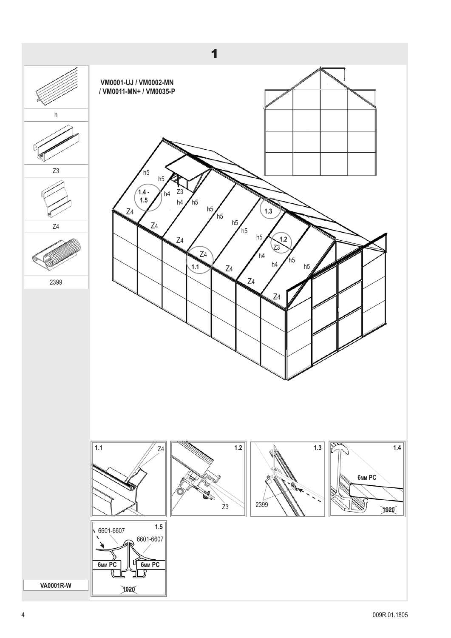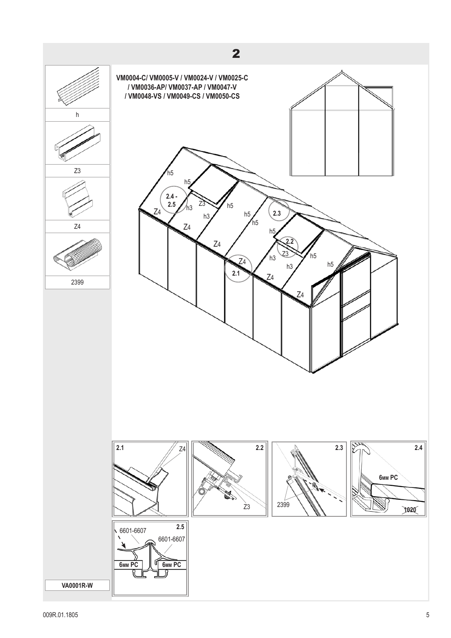